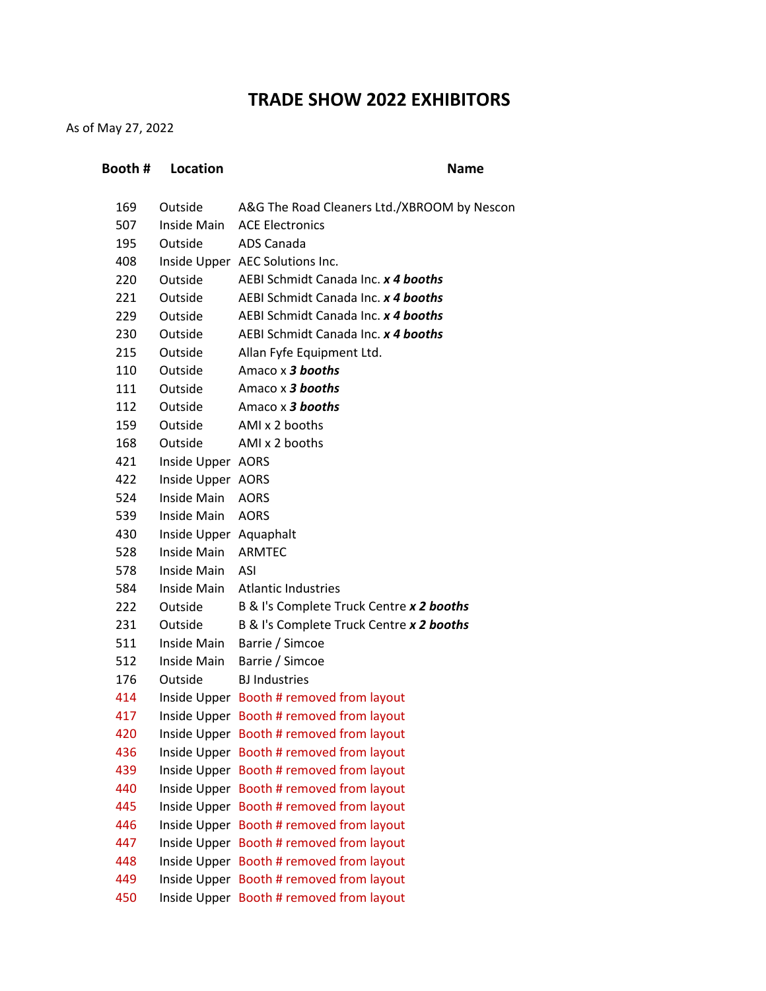## **TRADE SHOW 2022 EXHIBITORS**

As of May 27, 2022

| Booth # | <b>Location</b>        | <b>Name</b>                                 |
|---------|------------------------|---------------------------------------------|
| 169     | Outside                | A&G The Road Cleaners Ltd./XBROOM by Nescon |
| 507     | Inside Main            | <b>ACE Electronics</b>                      |
| 195     | Outside                | ADS Canada                                  |
| 408     |                        | Inside Upper AEC Solutions Inc.             |
| 220     | Outside                | AEBI Schmidt Canada Inc. x 4 booths         |
| 221     | Outside                | AEBI Schmidt Canada Inc. x 4 booths         |
| 229     | Outside                | AEBI Schmidt Canada Inc. x 4 booths         |
| 230     | Outside                | AEBI Schmidt Canada Inc. x 4 booths         |
| 215     | Outside                | Allan Fyfe Equipment Ltd.                   |
| 110     | Outside                | Amaco x 3 booths                            |
| 111     | Outside                | Amaco x 3 booths                            |
| 112     | Outside                | Amaco x 3 booths                            |
| 159     | Outside                | AMI x 2 booths                              |
| 168     | Outside                | AMI x 2 booths                              |
| 421     | Inside Upper AORS      |                                             |
| 422     | Inside Upper AORS      |                                             |
| 524     | Inside Main            | <b>AORS</b>                                 |
| 539     | Inside Main            | <b>AORS</b>                                 |
| 430     | Inside Upper Aquaphalt |                                             |
| 528     | Inside Main ARMTEC     |                                             |
| 578     | Inside Main            | ASI                                         |
| 584     | Inside Main            | <b>Atlantic Industries</b>                  |
| 222     | Outside                | B & I's Complete Truck Centre x 2 booths    |
| 231     | Outside                | B & I's Complete Truck Centre x 2 booths    |
| 511     | Inside Main            | Barrie / Simcoe                             |
| 512     | Inside Main            | Barrie / Simcoe                             |
| 176     | Outside                | <b>BJ</b> Industries                        |
| 414     |                        | Inside Upper Booth # removed from layout    |
| 417     |                        | Inside Upper Booth # removed from layout    |
| 420     |                        | Inside Upper Booth # removed from layout    |
| 436     |                        | Inside Upper Booth # removed from layout    |
| 439     |                        | Inside Upper Booth # removed from layout    |
| 440     |                        | Inside Upper Booth # removed from layout    |
| 445     |                        | Inside Upper Booth # removed from layout    |
| 446     |                        | Inside Upper Booth # removed from layout    |
| 447     |                        | Inside Upper Booth # removed from layout    |
| 448     |                        | Inside Upper Booth # removed from layout    |
| 449     |                        | Inside Upper Booth # removed from layout    |
| 450     |                        | Inside Upper Booth # removed from layout    |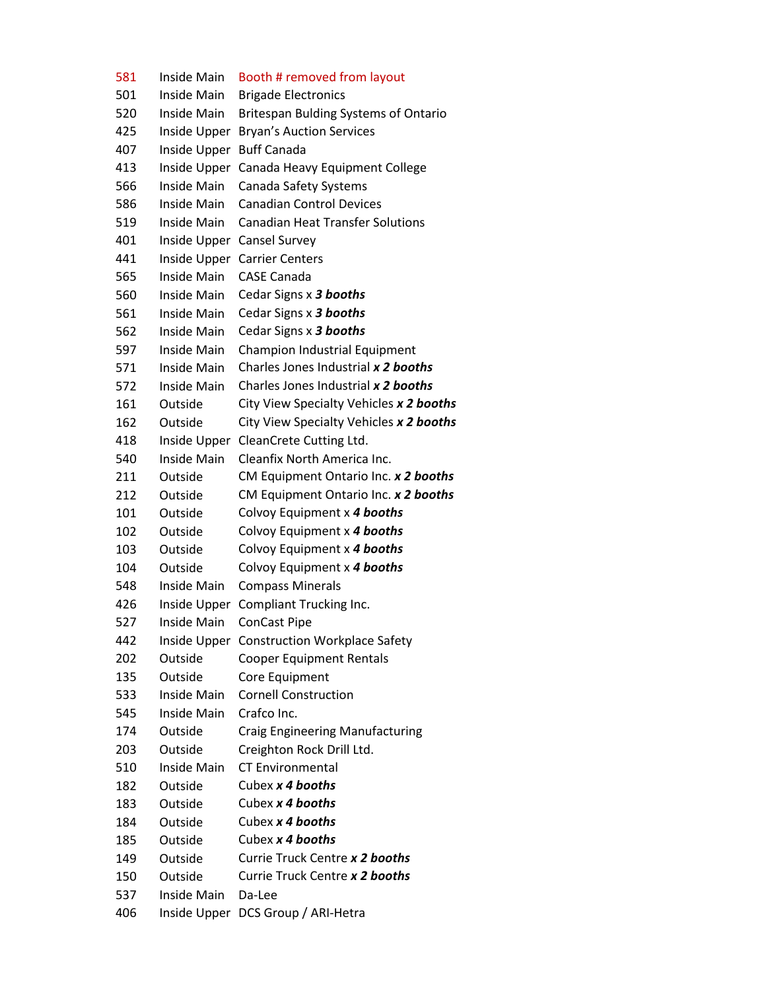Inside Main Booth # removed from layout Inside Main Brigade Electronics Inside Main Britespan Bulding Systems of Ontario Inside Upper Bryan's Auction Services Inside Upper Buff Canada Inside Upper Canada Heavy Equipment College Inside Main Canada Safety Systems Inside Main Canadian Control Devices Inside Main Canadian Heat Transfer Solutions Inside Upper Cansel Survey Inside Upper Carrier Centers Inside Main CASE Canada Inside Main Cedar Signs x *3 booths* Inside Main Cedar Signs x *3 booths* Inside Main Cedar Signs x *3 booths* Inside Main Champion Industrial Equipment Inside Main Charles Jones Industrial *x 2 booths* Inside Main Charles Jones Industrial *x 2 booths* Outside City View Specialty Vehicles *x 2 booths* Outside City View Specialty Vehicles *x 2 booths* Inside Upper CleanCrete Cutting Ltd. Inside Main Cleanfix North America Inc. Outside CM Equipment Ontario Inc. *x 2 booths* Outside CM Equipment Ontario Inc. *x 2 booths* Outside Colvoy Equipment x *4 booths*  Outside Colvoy Equipment x *4 booths*  Outside Colvoy Equipment x *4 booths*  Outside Colvoy Equipment x *4 booths*  Inside Main Compass Minerals Inside Upper Compliant Trucking Inc. Inside Main ConCast Pipe Inside Upper Construction Workplace Safety Outside Cooper Equipment Rentals 135 Outside Core Equipment Inside Main Cornell Construction Inside Main Crafco Inc. Outside Craig Engineering Manufacturing Outside Creighton Rock Drill Ltd. Inside Main CT Environmental Outside Cubex *x 4 booths* Outside Cubex *x 4 booths* Outside Cubex *x 4 booths* Outside Cubex *x 4 booths* Outside Currie Truck Centre *x 2 booths* Outside Currie Truck Centre *x 2 booths* Inside Main Da-Lee Inside Upper DCS Group / ARI-Hetra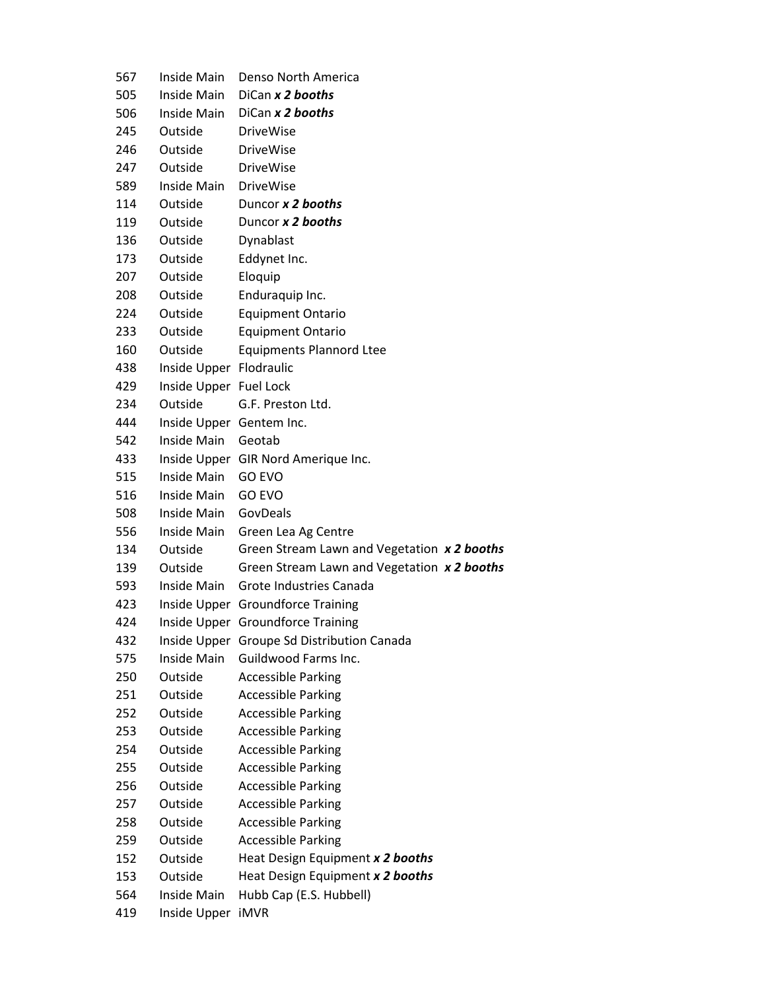| 567 | Inside Main              | Denso North America                         |
|-----|--------------------------|---------------------------------------------|
| 505 | Inside Main              | DiCan x 2 booths                            |
| 506 | Inside Main              | DiCan x 2 booths                            |
| 245 | Outside                  | <b>DriveWise</b>                            |
| 246 | Outside                  | <b>DriveWise</b>                            |
| 247 | Outside                  | <b>DriveWise</b>                            |
| 589 | Inside Main              | <b>DriveWise</b>                            |
| 114 | Outside                  | Duncor x 2 booths                           |
| 119 | Outside                  | Duncor x 2 booths                           |
| 136 | Outside                  | Dynablast                                   |
| 173 | Outside                  | Eddynet Inc.                                |
| 207 | Outside                  | Eloquip                                     |
| 208 | Outside                  | Enduraquip Inc.                             |
| 224 | Outside                  | <b>Equipment Ontario</b>                    |
| 233 | Outside                  | <b>Equipment Ontario</b>                    |
| 160 | Outside                  | <b>Equipments Plannord Ltee</b>             |
| 438 | Inside Upper Flodraulic  |                                             |
| 429 | Inside Upper Fuel Lock   |                                             |
| 234 | Outside                  | G.F. Preston Ltd.                           |
| 444 | Inside Upper Gentem Inc. |                                             |
| 542 | Inside Main              | Geotab                                      |
| 433 |                          | Inside Upper GIR Nord Amerique Inc.         |
| 515 | Inside Main              | <b>GO EVO</b>                               |
| 516 | Inside Main              | <b>GO EVO</b>                               |
| 508 | Inside Main              | GovDeals                                    |
| 556 | Inside Main              | Green Lea Ag Centre                         |
| 134 | Outside                  | Green Stream Lawn and Vegetation x 2 booths |
| 139 | Outside                  | Green Stream Lawn and Vegetation x 2 booths |
| 593 |                          | Inside Main Grote Industries Canada         |
| 423 |                          | Inside Upper Groundforce Training           |
| 424 |                          | Inside Upper Groundforce Training           |
| 432 |                          | Inside Upper Groupe Sd Distribution Canada  |
| 575 | Inside Main              | <b>Guildwood Farms Inc.</b>                 |
| 250 | Outside                  | <b>Accessible Parking</b>                   |
| 251 | Outside                  | <b>Accessible Parking</b>                   |
| 252 | Outside                  | <b>Accessible Parking</b>                   |
| 253 | Outside                  | <b>Accessible Parking</b>                   |
| 254 | Outside                  | <b>Accessible Parking</b>                   |
| 255 | Outside                  | <b>Accessible Parking</b>                   |
| 256 | Outside                  | <b>Accessible Parking</b>                   |
| 257 | Outside                  | <b>Accessible Parking</b>                   |
| 258 | Outside                  | <b>Accessible Parking</b>                   |
| 259 | Outside                  | <b>Accessible Parking</b>                   |
| 152 | Outside                  | Heat Design Equipment x 2 booths            |
| 153 | Outside                  | Heat Design Equipment x 2 booths            |
| 564 | Inside Main              | Hubb Cap (E.S. Hubbell)                     |
| 419 | Inside Upper             | iMVR                                        |
|     |                          |                                             |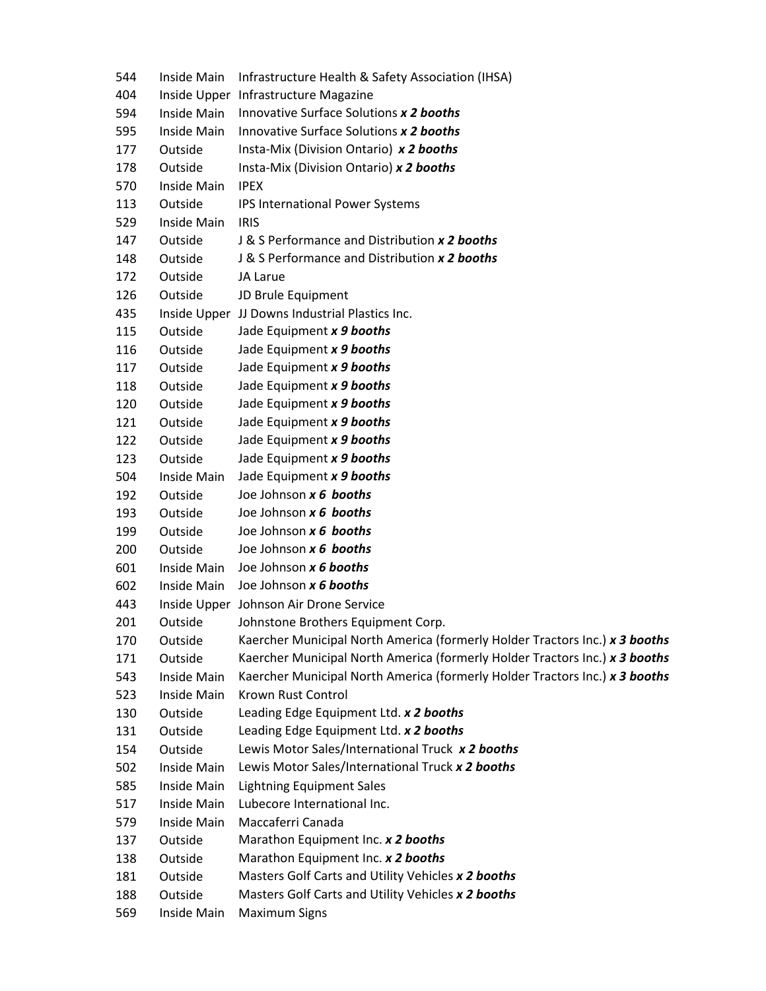| 544 | Inside Main        | Infrastructure Health & Safety Association (IHSA)                           |
|-----|--------------------|-----------------------------------------------------------------------------|
| 404 |                    | Inside Upper Infrastructure Magazine                                        |
| 594 | Inside Main        | Innovative Surface Solutions x 2 booths                                     |
| 595 | Inside Main        | Innovative Surface Solutions x 2 booths                                     |
| 177 | Outside            | Insta-Mix (Division Ontario) x 2 booths                                     |
| 178 | Outside            | Insta-Mix (Division Ontario) x 2 booths                                     |
| 570 | Inside Main        | <b>IPEX</b>                                                                 |
| 113 | Outside            | IPS International Power Systems                                             |
| 529 | Inside Main        | <b>IRIS</b>                                                                 |
| 147 | Outside            | J & S Performance and Distribution x 2 booths                               |
| 148 | Outside            | J & S Performance and Distribution x 2 booths                               |
| 172 | Outside            | JA Larue                                                                    |
| 126 | Outside            | JD Brule Equipment                                                          |
| 435 |                    | Inside Upper JJ Downs Industrial Plastics Inc.                              |
| 115 | Outside            | Jade Equipment x 9 booths                                                   |
| 116 | Outside            | Jade Equipment x 9 booths                                                   |
| 117 | Outside            | Jade Equipment x 9 booths                                                   |
| 118 | Outside            | Jade Equipment x 9 booths                                                   |
| 120 | Outside            | Jade Equipment x 9 booths                                                   |
| 121 | Outside            | Jade Equipment x 9 booths                                                   |
| 122 | Outside            | Jade Equipment x 9 booths                                                   |
| 123 | Outside            | Jade Equipment x 9 booths                                                   |
| 504 | Inside Main        | Jade Equipment x 9 booths                                                   |
| 192 | Outside            | Joe Johnson x 6 booths                                                      |
| 193 | Outside            | Joe Johnson x 6 booths                                                      |
| 199 | Outside            | Joe Johnson x 6 booths                                                      |
| 200 | Outside            | Joe Johnson x 6 booths                                                      |
| 601 | Inside Main        | Joe Johnson x 6 booths                                                      |
| 602 | Inside Main        | Joe Johnson x 6 booths                                                      |
| 443 |                    | Inside Upper Johnson Air Drone Service                                      |
| 201 | Outside            | Johnstone Brothers Equipment Corp.                                          |
| 170 | Outside            | Kaercher Municipal North America (formerly Holder Tractors Inc.) x 3 booths |
| 171 | Outside            | Kaercher Municipal North America (formerly Holder Tractors Inc.) x 3 booths |
| 543 | <b>Inside Main</b> | Kaercher Municipal North America (formerly Holder Tractors Inc.) x 3 booths |
| 523 | Inside Main        | <b>Krown Rust Control</b>                                                   |
| 130 | Outside            | Leading Edge Equipment Ltd. x 2 booths                                      |
| 131 | Outside            | Leading Edge Equipment Ltd. x 2 booths                                      |
| 154 | Outside            | Lewis Motor Sales/International Truck x 2 booths                            |
| 502 | Inside Main        | Lewis Motor Sales/International Truck x 2 booths                            |
| 585 | Inside Main        | <b>Lightning Equipment Sales</b>                                            |
| 517 | Inside Main        | Lubecore International Inc.                                                 |
| 579 | Inside Main        | Maccaferri Canada                                                           |
| 137 | Outside            | Marathon Equipment Inc. x 2 booths                                          |
| 138 | Outside            | Marathon Equipment Inc. x 2 booths                                          |
| 181 | Outside            | Masters Golf Carts and Utility Vehicles x 2 booths                          |
| 188 | Outside            | Masters Golf Carts and Utility Vehicles x 2 booths                          |
| 569 | Inside Main        | <b>Maximum Signs</b>                                                        |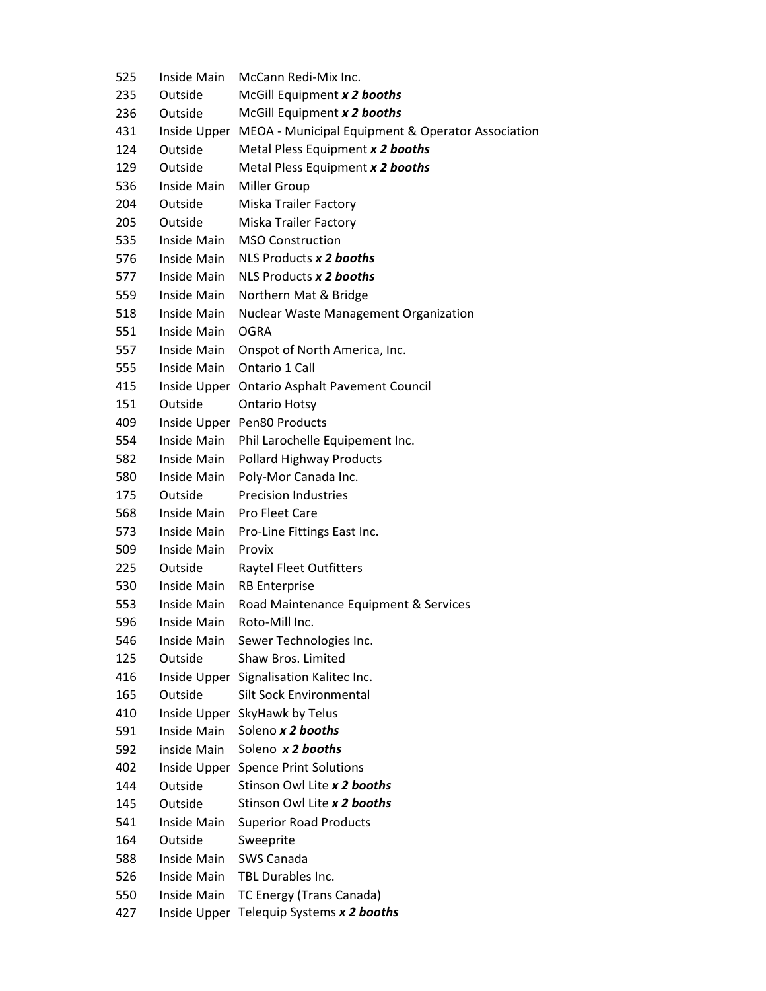| 525 | Inside Main  | McCann Redi-Mix Inc.                                           |
|-----|--------------|----------------------------------------------------------------|
| 235 | Outside      | McGill Equipment x 2 booths                                    |
| 236 | Outside      | McGill Equipment x 2 booths                                    |
| 431 |              | Inside Upper MEOA - Municipal Equipment & Operator Association |
| 124 | Outside      | Metal Pless Equipment x 2 booths                               |
| 129 | Outside      | Metal Pless Equipment x 2 booths                               |
| 536 | Inside Main  | Miller Group                                                   |
| 204 | Outside      | Miska Trailer Factory                                          |
| 205 | Outside      | <b>Miska Trailer Factory</b>                                   |
| 535 | Inside Main  | <b>MSO Construction</b>                                        |
| 576 | Inside Main  | NLS Products x 2 booths                                        |
| 577 | Inside Main  | NLS Products x 2 booths                                        |
| 559 | Inside Main  | Northern Mat & Bridge                                          |
| 518 | Inside Main  | <b>Nuclear Waste Management Organization</b>                   |
| 551 | Inside Main  | <b>OGRA</b>                                                    |
| 557 | Inside Main  | Onspot of North America, Inc.                                  |
| 555 | Inside Main  | Ontario 1 Call                                                 |
| 415 |              | Inside Upper Ontario Asphalt Pavement Council                  |
| 151 | Outside      | <b>Ontario Hotsy</b>                                           |
| 409 |              | Inside Upper Pen80 Products                                    |
| 554 | Inside Main  | Phil Larochelle Equipement Inc.                                |
| 582 | Inside Main  | <b>Pollard Highway Products</b>                                |
| 580 | Inside Main  | Poly-Mor Canada Inc.                                           |
| 175 | Outside      | <b>Precision Industries</b>                                    |
| 568 | Inside Main  | Pro Fleet Care                                                 |
| 573 | Inside Main  | Pro-Line Fittings East Inc.                                    |
| 509 | Inside Main  | Provix                                                         |
| 225 | Outside      | <b>Raytel Fleet Outfitters</b>                                 |
| 530 | Inside Main  | <b>RB Enterprise</b>                                           |
| 553 | Inside Main  | Road Maintenance Equipment & Services                          |
| 596 | Inside Main  | Roto-Mill Inc.                                                 |
| 546 | Inside Main  | Sewer Technologies Inc.                                        |
| 125 | Outside      | Shaw Bros. Limited                                             |
| 416 |              | Inside Upper Signalisation Kalitec Inc.                        |
| 165 | Outside      | <b>Silt Sock Environmental</b>                                 |
| 410 |              | Inside Upper SkyHawk by Telus                                  |
| 591 | Inside Main  | Soleno x 2 booths                                              |
| 592 | inside Main  | Soleno x 2 booths                                              |
| 402 |              | Inside Upper Spence Print Solutions                            |
| 144 | Outside      | Stinson Owl Lite x 2 booths                                    |
| 145 | Outside      | Stinson Owl Lite x 2 booths                                    |
| 541 | Inside Main  | <b>Superior Road Products</b>                                  |
| 164 | Outside      | Sweeprite                                                      |
| 588 | Inside Main  | <b>SWS Canada</b>                                              |
| 526 | Inside Main  | TBL Durables Inc.                                              |
| 550 | Inside Main  | TC Energy (Trans Canada)                                       |
| 427 | Inside Upper | Telequip Systems x 2 booths                                    |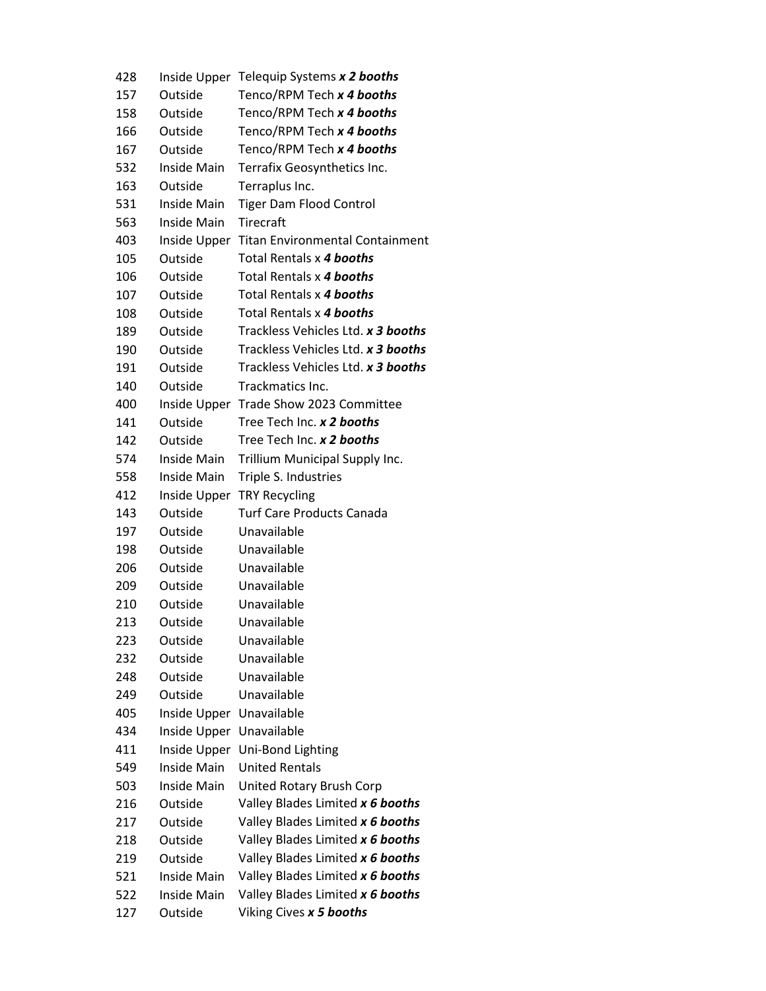| 428 |                               | Inside Upper Telequip Systems x 2 booths                             |
|-----|-------------------------------|----------------------------------------------------------------------|
| 157 | Outside                       | Tenco/RPM Tech x 4 booths                                            |
| 158 | Outside                       | Tenco/RPM Tech x 4 booths                                            |
| 166 | Outside                       | Tenco/RPM Tech x 4 booths                                            |
| 167 | Outside                       | Tenco/RPM Tech x 4 booths                                            |
| 532 | Inside Main                   | Terrafix Geosynthetics Inc.                                          |
| 163 | Outside                       | Terraplus Inc.                                                       |
| 531 | Inside Main                   | <b>Tiger Dam Flood Control</b>                                       |
| 563 | Inside Main                   | Tirecraft                                                            |
| 403 |                               | Inside Upper Titan Environmental Containment                         |
| 105 | Outside                       | Total Rentals x 4 booths                                             |
| 106 | Outside                       | Total Rentals x 4 booths                                             |
| 107 | Outside                       | Total Rentals x 4 booths                                             |
| 108 | Outside                       | Total Rentals x 4 booths                                             |
| 189 | Outside                       | Trackless Vehicles Ltd. x 3 booths                                   |
| 190 | Outside                       | Trackless Vehicles Ltd. x 3 booths                                   |
| 191 | Outside                       | Trackless Vehicles Ltd. x 3 booths                                   |
| 140 | Outside                       | Trackmatics Inc.                                                     |
| 400 |                               | Inside Upper Trade Show 2023 Committee                               |
| 141 | Outside                       | Tree Tech Inc. x 2 booths                                            |
| 142 | Outside                       | Tree Tech Inc. x 2 booths                                            |
| 574 | Inside Main                   | Trillium Municipal Supply Inc.                                       |
| 558 | Inside Main                   | Triple S. Industries                                                 |
| 412 | Inside Upper                  | <b>TRY Recycling</b>                                                 |
| 143 | Outside                       | <b>Turf Care Products Canada</b>                                     |
| 197 | Outside                       | Unavailable                                                          |
| 198 | Outside                       | Unavailable                                                          |
| 206 | Outside                       | Unavailable                                                          |
| 209 | Outside                       | Unavailable                                                          |
| 210 | Outside                       | Unavailable                                                          |
| 213 | Outside                       | Unavailable                                                          |
| 223 | Outside                       | Unavailable                                                          |
| 232 | Outside                       | Unavailable                                                          |
| 248 | Outside                       | Unavailable                                                          |
| 249 | Outside                       | Unavailable                                                          |
| 405 | Inside Upper                  | Unavailable                                                          |
| 434 | Inside Upper                  | Unavailable                                                          |
| 411 | Inside Upper                  | Uni-Bond Lighting                                                    |
| 549 | Inside Main                   | <b>United Rentals</b>                                                |
| 503 | Inside Main                   | United Rotary Brush Corp                                             |
| 216 | Outside                       | Valley Blades Limited x 6 booths                                     |
| 217 | Outside                       | Valley Blades Limited x 6 booths                                     |
| 218 | Outside                       | Valley Blades Limited x 6 booths                                     |
| 219 | Outside<br><b>Inside Main</b> | Valley Blades Limited x 6 booths                                     |
| 521 | Inside Main                   | Valley Blades Limited x 6 booths<br>Valley Blades Limited x 6 booths |
| 522 |                               |                                                                      |
| 127 | Outside                       | Viking Cives x 5 booths                                              |